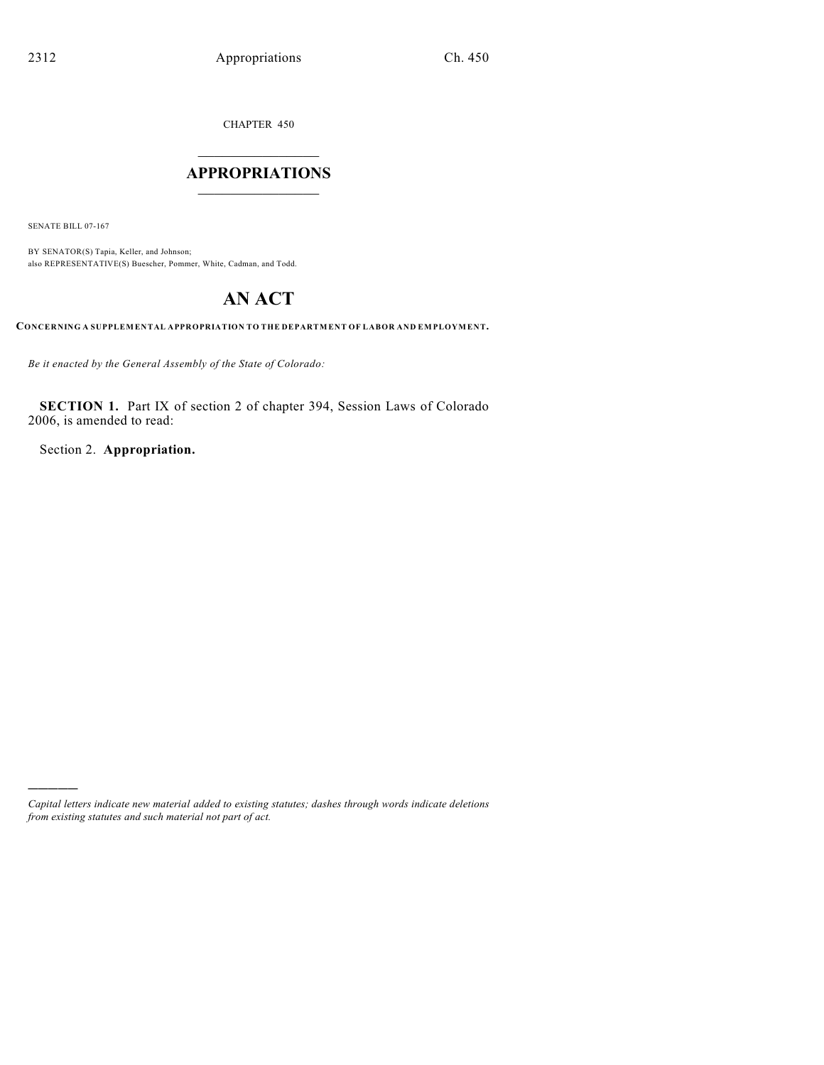CHAPTER 450

## $\overline{\phantom{a}}$  . The set of the set of the set of the set of the set of the set of the set of the set of the set of the set of the set of the set of the set of the set of the set of the set of the set of the set of the set o **APPROPRIATIONS**  $\_$   $\_$   $\_$   $\_$   $\_$   $\_$   $\_$   $\_$

SENATE BILL 07-167

)))))

BY SENATOR(S) Tapia, Keller, and Johnson; also REPRESENTATIVE(S) Buescher, Pommer, White, Cadman, and Todd.

# **AN ACT**

**CONCERNING A SUPPLEMENTAL APPROPRIATION TO THE DEPARTMENT OF LABOR AND EMPLOYMENT.**

*Be it enacted by the General Assembly of the State of Colorado:*

**SECTION 1.** Part IX of section 2 of chapter 394, Session Laws of Colorado 2006, is amended to read:

Section 2. **Appropriation.**

*Capital letters indicate new material added to existing statutes; dashes through words indicate deletions from existing statutes and such material not part of act.*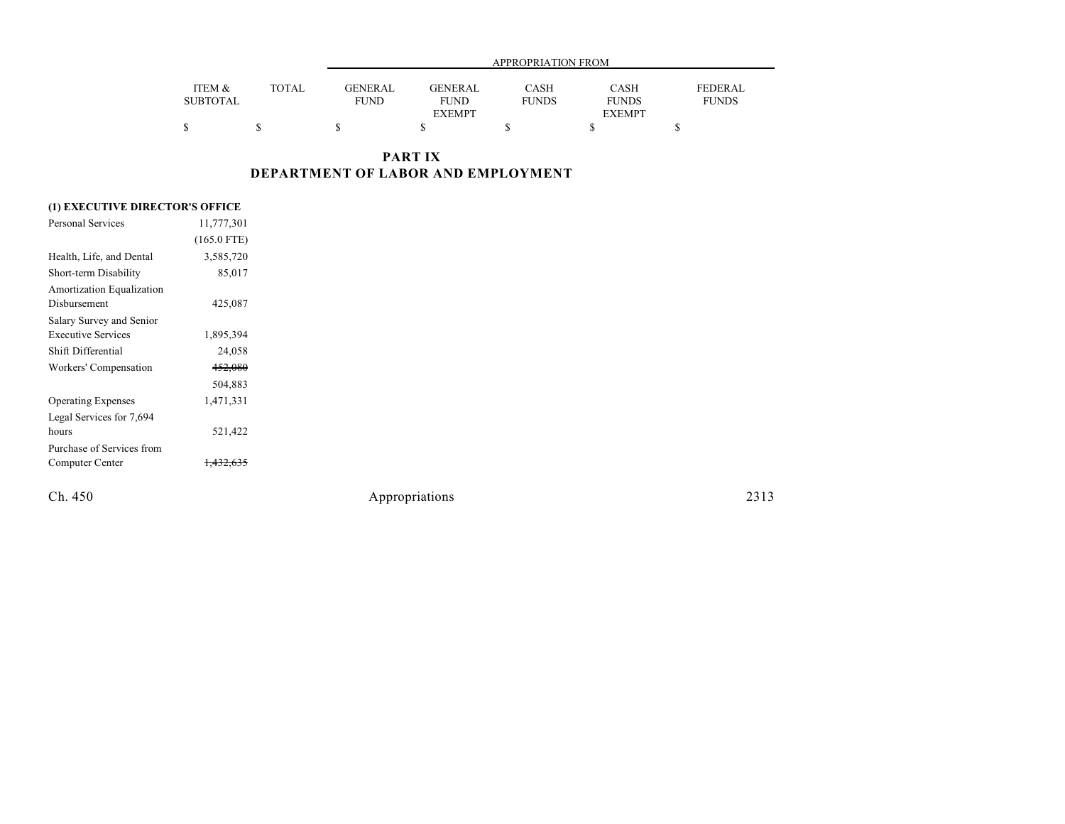|                           |              |                | APPROPRIATION FROM            |                      |                      |                         |  |  |
|---------------------------|--------------|----------------|-------------------------------|----------------------|----------------------|-------------------------|--|--|
| ITEM &<br><b>SUBTOTAL</b> | <b>TOTAL</b> | <b>GENERAL</b> | <b>GENERAL</b><br><b>FUND</b> | CASH<br><b>FUNDS</b> | CASH<br><b>FUNDS</b> | FEDERAL<br><b>FUNDS</b> |  |  |
|                           |              | <b>FUND</b>    | <b>EXEMPT</b>                 |                      | <b>EXEMPT</b>        |                         |  |  |
|                           |              |                |                               |                      |                      |                         |  |  |

**PART IX DEPARTMENT OF LABOR AND EMPLOYMENT**

### **(1) EXECUTIVE DIRECTOR'S OFFICE**

| Personal Services         | 11,777,301    |  |
|---------------------------|---------------|--|
|                           | $(165.0$ FTE) |  |
| Health, Life, and Dental  | 3,585,720     |  |
| Short-term Disability     | 85,017        |  |
| Amortization Equalization |               |  |
| Disbursement              | 425,087       |  |
| Salary Survey and Senior  |               |  |
| <b>Executive Services</b> | 1,895,394     |  |
| Shift Differential        | 24,058        |  |
| Workers' Compensation     | 452,080       |  |
|                           | 504,883       |  |
| <b>Operating Expenses</b> | 1,471,331     |  |
| Legal Services for 7,694  |               |  |
| hours                     | 521,422       |  |
| Purchase of Services from |               |  |
| Computer Center           |               |  |
|                           |               |  |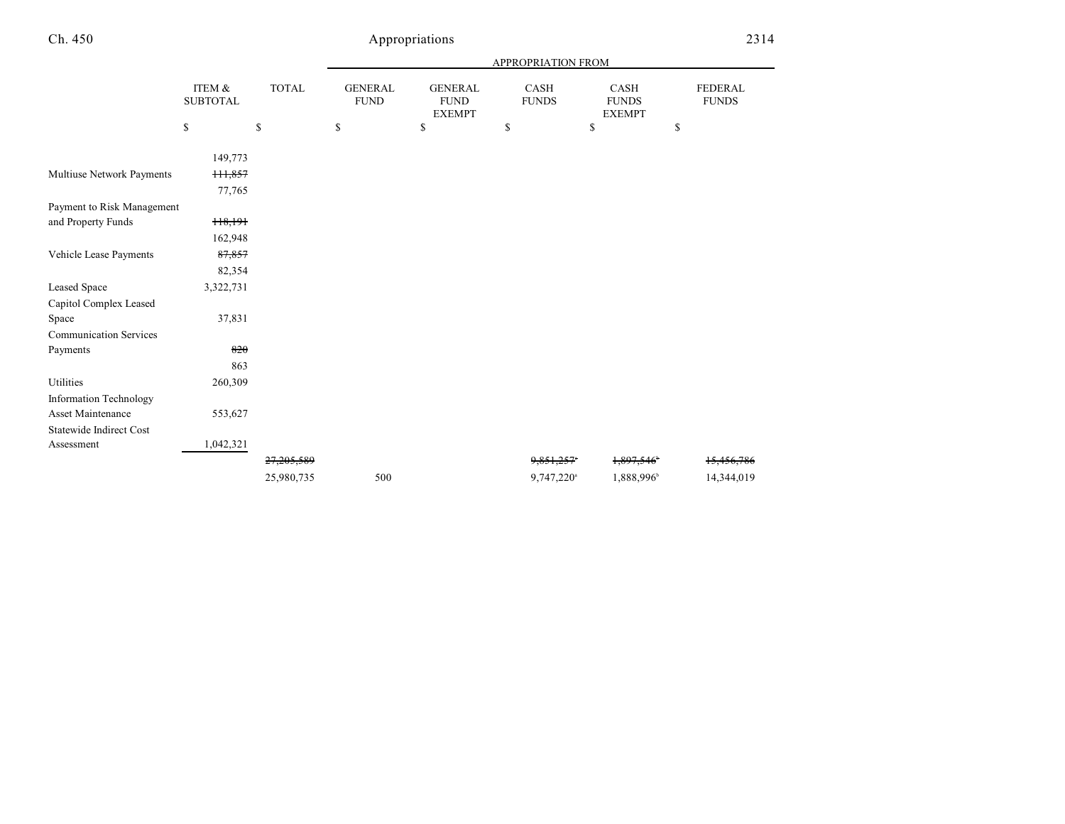|                                |                           |              |                               |                                                | APPROPRIATION FROM          |                                       |                                |
|--------------------------------|---------------------------|--------------|-------------------------------|------------------------------------------------|-----------------------------|---------------------------------------|--------------------------------|
|                                | ITEM &<br><b>SUBTOTAL</b> | <b>TOTAL</b> | <b>GENERAL</b><br><b>FUND</b> | <b>GENERAL</b><br><b>FUND</b><br><b>EXEMPT</b> | <b>CASH</b><br><b>FUNDS</b> | CASH<br><b>FUNDS</b><br><b>EXEMPT</b> | <b>FEDERAL</b><br><b>FUNDS</b> |
|                                | \$                        | \$           | \$                            | \$                                             | \$                          | \$                                    | \$                             |
|                                | 149,773                   |              |                               |                                                |                             |                                       |                                |
|                                |                           |              |                               |                                                |                             |                                       |                                |
| Multiuse Network Payments      | <del>111,857</del>        |              |                               |                                                |                             |                                       |                                |
|                                | 77,765                    |              |                               |                                                |                             |                                       |                                |
| Payment to Risk Management     |                           |              |                               |                                                |                             |                                       |                                |
| and Property Funds             | 118,191                   |              |                               |                                                |                             |                                       |                                |
|                                | 162,948                   |              |                               |                                                |                             |                                       |                                |
| Vehicle Lease Payments         | 87,857                    |              |                               |                                                |                             |                                       |                                |
|                                | 82,354                    |              |                               |                                                |                             |                                       |                                |
| <b>Leased Space</b>            | 3,322,731                 |              |                               |                                                |                             |                                       |                                |
| Capitol Complex Leased         |                           |              |                               |                                                |                             |                                       |                                |
| Space                          | 37,831                    |              |                               |                                                |                             |                                       |                                |
| <b>Communication Services</b>  |                           |              |                               |                                                |                             |                                       |                                |
| Payments                       | 820                       |              |                               |                                                |                             |                                       |                                |
|                                | 863                       |              |                               |                                                |                             |                                       |                                |
| Utilities                      | 260,309                   |              |                               |                                                |                             |                                       |                                |
| <b>Information Technology</b>  |                           |              |                               |                                                |                             |                                       |                                |
| <b>Asset Maintenance</b>       | 553,627                   |              |                               |                                                |                             |                                       |                                |
| <b>Statewide Indirect Cost</b> |                           |              |                               |                                                |                             |                                       |                                |
| Assessment                     | 1,042,321                 |              |                               |                                                |                             |                                       |                                |
|                                |                           | 27,205,589   |                               |                                                | 9,851,257°                  | 1,897,546                             | 15,456,786                     |
|                                |                           | 25,980,735   | 500                           |                                                | 9,747,220 <sup>a</sup>      | 1,888,996                             | 14,344,019                     |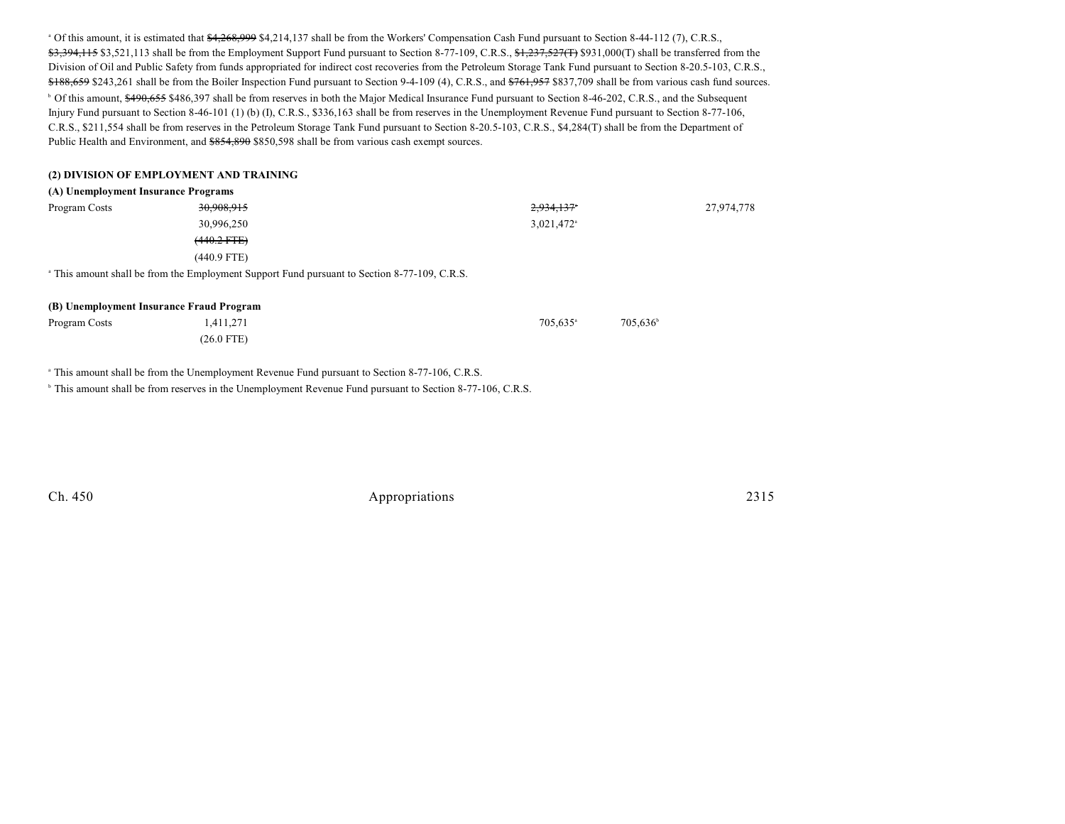<sup>a</sup> Of this amount, it is estimated that \$4,268,999 \$4,214,137 shall be from the Workers' Compensation Cash Fund pursuant to Section 8-44-112 (7), C.R.S., \$3,394,115 \$3,521,113 shall be from the Employment Support Fund pursuant to Section 8-77-109, C.R.S., \$1,237,527(T) \$931,000(T) shall be transferred from the Division of Oil and Public Safety from funds appropriated for indirect cost recoveries from the Petroleum Storage Tank Fund pursuant to Section 8-20.5-103, C.R.S., \$188,659 \$243,261 shall be from the Boiler Inspection Fund pursuant to Section 9-4-109 (4), C.R.S., and \$761,957 \$837,709 shall be from various cash fund sources. <sup>b</sup> Of this amount, \$490,655 \$486,397 shall be from reserves in both the Major Medical Insurance Fund pursuant to Section 8-46-202, C.R.S., and the Subsequent Injury Fund pursuant to Section 8-46-101 (1) (b) (I), C.R.S., \$336,163 shall be from reserves in the Unemployment Revenue Fund pursuant to Section 8-77-106, C.R.S., \$211,554 shall be from reserves in the Petroleum Storage Tank Fund pursuant to Section 8-20.5-103, C.R.S., \$4,284(T) shall be from the Department of Public Health and Environment, and \$854,890 \$850,598 shall be from various cash exempt sources.

#### **(2) DIVISION OF EMPLOYMENT AND TRAINING**

#### **(A) Unemployment Insurance Programs**

| Program Costs                                                                                           | 30,908,915    | 2,934,137*             | 27,974,778 |  |  |  |
|---------------------------------------------------------------------------------------------------------|---------------|------------------------|------------|--|--|--|
|                                                                                                         | 30,996,250    | 3,021,472 <sup>a</sup> |            |  |  |  |
|                                                                                                         | $(440.2$ FTE) |                        |            |  |  |  |
|                                                                                                         | $(440.9$ FTE) |                        |            |  |  |  |
| <sup>a</sup> This amount shall be from the Employment Support Fund pursuant to Section 8-77-109, C.R.S. |               |                        |            |  |  |  |

| (B) Unemployment Insurance Fraud Program |              |                      |                      |  |
|------------------------------------------|--------------|----------------------|----------------------|--|
| Program Costs                            | 1.411.271    | 705.635 <sup>a</sup> | 705.636 <sup>t</sup> |  |
|                                          | $(26.0$ FTE) |                      |                      |  |

<sup>a</sup> This amount shall be from the Unemployment Revenue Fund pursuant to Section 8-77-106, C.R.S.

<sup>b</sup> This amount shall be from reserves in the Unemployment Revenue Fund pursuant to Section 8-77-106, C.R.S.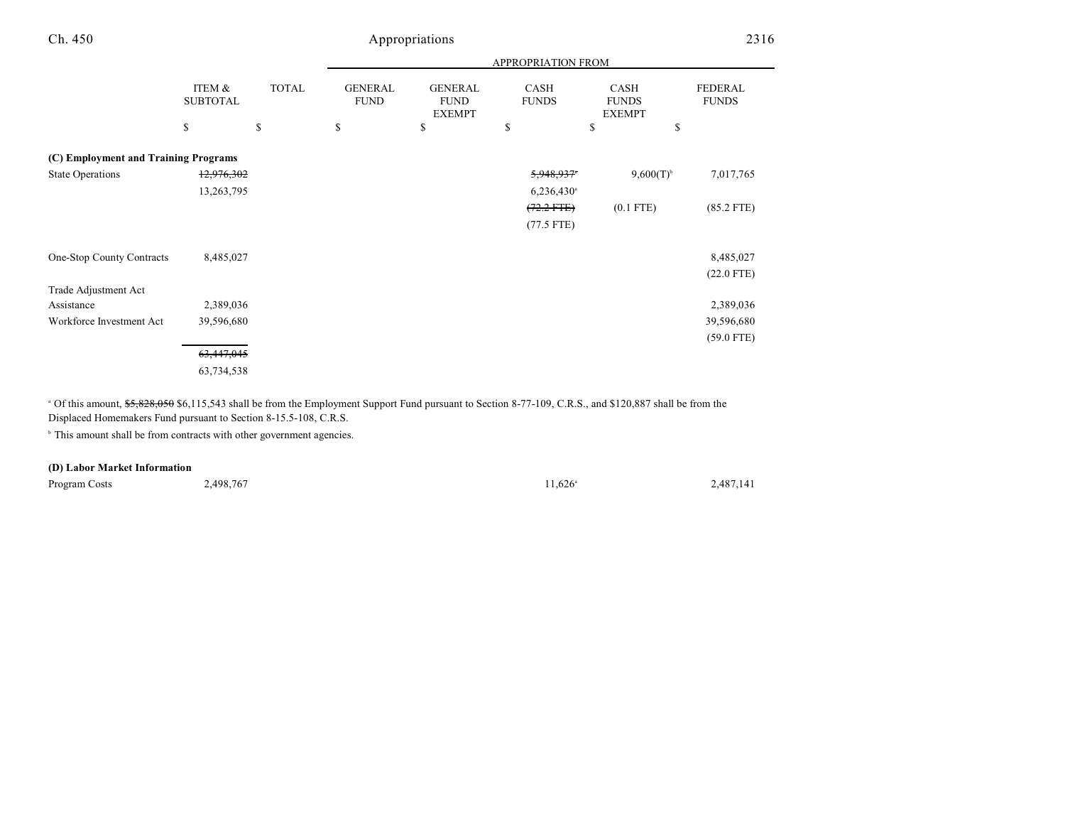|                                      |                           |              | APPROPRIATION FROM            |                                                |                          |                                       |                                |  |
|--------------------------------------|---------------------------|--------------|-------------------------------|------------------------------------------------|--------------------------|---------------------------------------|--------------------------------|--|
|                                      | ITEM &<br><b>SUBTOTAL</b> | <b>TOTAL</b> | <b>GENERAL</b><br><b>FUND</b> | <b>GENERAL</b><br><b>FUND</b><br><b>EXEMPT</b> | CASH<br><b>FUNDS</b>     | CASH<br><b>FUNDS</b><br><b>EXEMPT</b> | <b>FEDERAL</b><br><b>FUNDS</b> |  |
|                                      | \$                        | \$           | \$                            | \$                                             | \$                       | \$<br>\$                              |                                |  |
| (C) Employment and Training Programs |                           |              |                               |                                                |                          |                                       |                                |  |
| <b>State Operations</b>              | 12,976,302                |              |                               |                                                | 5,948,937                | $9,600(T)^{6}$                        | 7,017,765                      |  |
|                                      | 13,263,795                |              |                               |                                                | $6,236,430$ <sup>a</sup> |                                       |                                |  |
|                                      |                           |              |                               |                                                | $(72.2$ FTE)             | $(0.1$ FTE)                           | $(85.2$ FTE)                   |  |
|                                      |                           |              |                               |                                                | $(77.5$ FTE)             |                                       |                                |  |
|                                      |                           |              |                               |                                                |                          |                                       |                                |  |
| One-Stop County Contracts            | 8,485,027                 |              |                               |                                                |                          |                                       | 8,485,027                      |  |
|                                      |                           |              |                               |                                                |                          |                                       | $(22.0$ FTE)                   |  |
| Trade Adjustment Act                 |                           |              |                               |                                                |                          |                                       |                                |  |
| Assistance                           | 2,389,036                 |              |                               |                                                |                          |                                       | 2,389,036                      |  |
| Workforce Investment Act             | 39,596,680                |              |                               |                                                |                          |                                       | 39,596,680                     |  |
|                                      |                           |              |                               |                                                |                          |                                       | $(59.0$ FTE)                   |  |
|                                      | 63,447,045                |              |                               |                                                |                          |                                       |                                |  |
|                                      | 63,734,538                |              |                               |                                                |                          |                                       |                                |  |

<sup>a</sup> Of this amount, \$5,828,050 \$6,115,543 shall be from the Employment Support Fund pursuant to Section 8-77-109, C.R.S., and \$120,887 shall be from the Displaced Homemakers Fund pursuant to Section 8-15.5-108, C.R.S.

<sup>b</sup> This amount shall be from contracts with other government agencies.

#### **(D) Labor Market Information**

Program Costs 2,498,767 2,487,141 and  $2,498,767$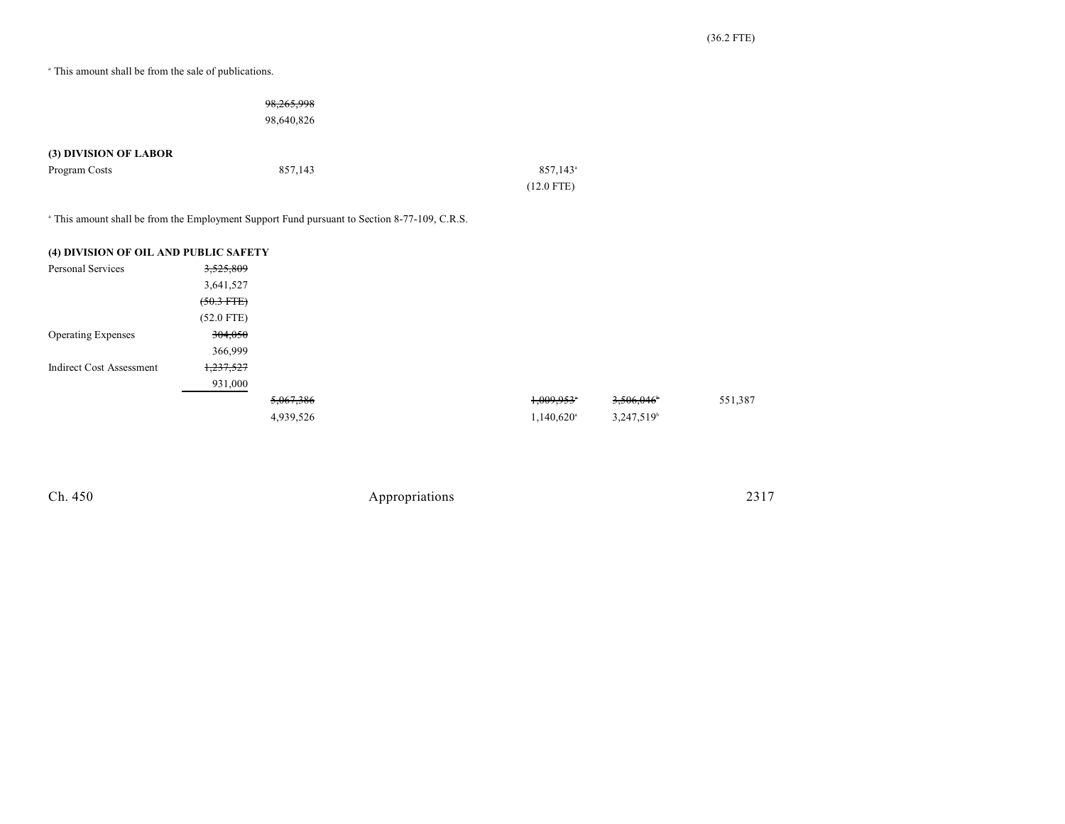<sup>a</sup> This amount shall be from the sale of publications.

|                                        | 98,265,998<br>98,640,826 |                                        |
|----------------------------------------|--------------------------|----------------------------------------|
| (3) DIVISION OF LABOR<br>Program Costs | 857,143                  | $857,143$ <sup>a</sup><br>$(12.0$ FTE) |

<sup>a</sup> This amount shall be from the Employment Support Fund pursuant to Section 8-77-109, C.R.S.

| (4) DIVISION OF OIL AND PUBLIC SAFETY |              |           |                          |                        |         |
|---------------------------------------|--------------|-----------|--------------------------|------------------------|---------|
| <b>Personal Services</b>              | 3,525,809    |           |                          |                        |         |
|                                       | 3,641,527    |           |                          |                        |         |
|                                       | $(50.3$ FTE) |           |                          |                        |         |
|                                       | $(52.0$ FTE) |           |                          |                        |         |
| <b>Operating Expenses</b>             | 304,050      |           |                          |                        |         |
|                                       | 366,999      |           |                          |                        |         |
| <b>Indirect Cost Assessment</b>       | 1,237,527    |           |                          |                        |         |
|                                       | 931,000      |           |                          |                        |         |
|                                       |              | 5,067,386 | $1,009,953$ <sup>*</sup> | 3,506,046              | 551,387 |
|                                       |              | 4,939,526 | $1,140,620$ <sup>a</sup> | 3,247,519 <sup>b</sup> |         |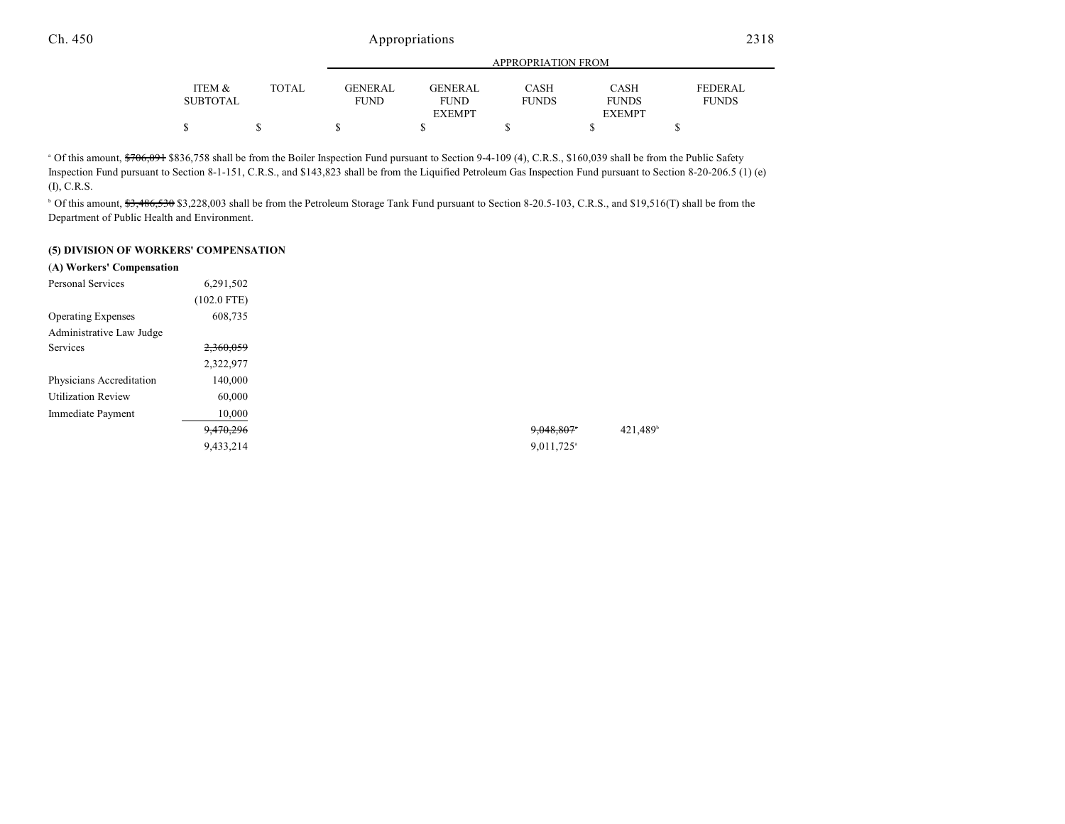|                 |              | APPROPRIATION FROM |               |              |               |                |  |
|-----------------|--------------|--------------------|---------------|--------------|---------------|----------------|--|
| ITEM &          | <b>TOTAL</b> | <b>GENERAL</b>     | GENERAL       | CASH         | CASH          | <b>FEDERAL</b> |  |
| <b>SUBTOTAL</b> |              | <b>FUND</b>        | <b>FUND</b>   | <b>FUNDS</b> | <b>FUNDS</b>  | <b>FUNDS</b>   |  |
|                 |              |                    | <b>EXEMPT</b> |              | <b>EXEMPT</b> |                |  |
|                 |              |                    |               |              |               |                |  |

<sup>a</sup> Of this amount, \$706,091 \$836,758 shall be from the Boiler Inspection Fund pursuant to Section 9-4-109 (4), C.R.S., \$160,039 shall be from the Public Safety Inspection Fund pursuant to Section 8-1-151, C.R.S., and \$143,823 shall be from the Liquified Petroleum Gas Inspection Fund pursuant to Section 8-20-206.5 (1) (e) (I), C.R.S.

<sup>b</sup> Of this amount, \$3,486,530 \$3,228,003 shall be from the Petroleum Storage Tank Fund pursuant to Section 8-20.5-103, C.R.S., and \$19,516(T) shall be from the Department of Public Health and Environment.

#### **(5) DIVISION OF WORKERS' COMPENSATION**

| (A) Workers' Compensation |               |  |                        |
|---------------------------|---------------|--|------------------------|
| Personal Services         | 6,291,502     |  |                        |
|                           | $(102.0$ FTE) |  |                        |
| <b>Operating Expenses</b> | 608,735       |  |                        |
| Administrative Law Judge  |               |  |                        |
| Services                  | 2,360,059     |  |                        |
|                           | 2,322,977     |  |                        |
| Physicians Accreditation  | 140,000       |  |                        |
| <b>Utilization Review</b> | 60,000        |  |                        |
| Immediate Payment         | 10,000        |  |                        |
|                           | 9,470,296     |  | 9,048,807              |
|                           | 9.433,214     |  | 9,011,725 <sup>a</sup> |
|                           |               |  |                        |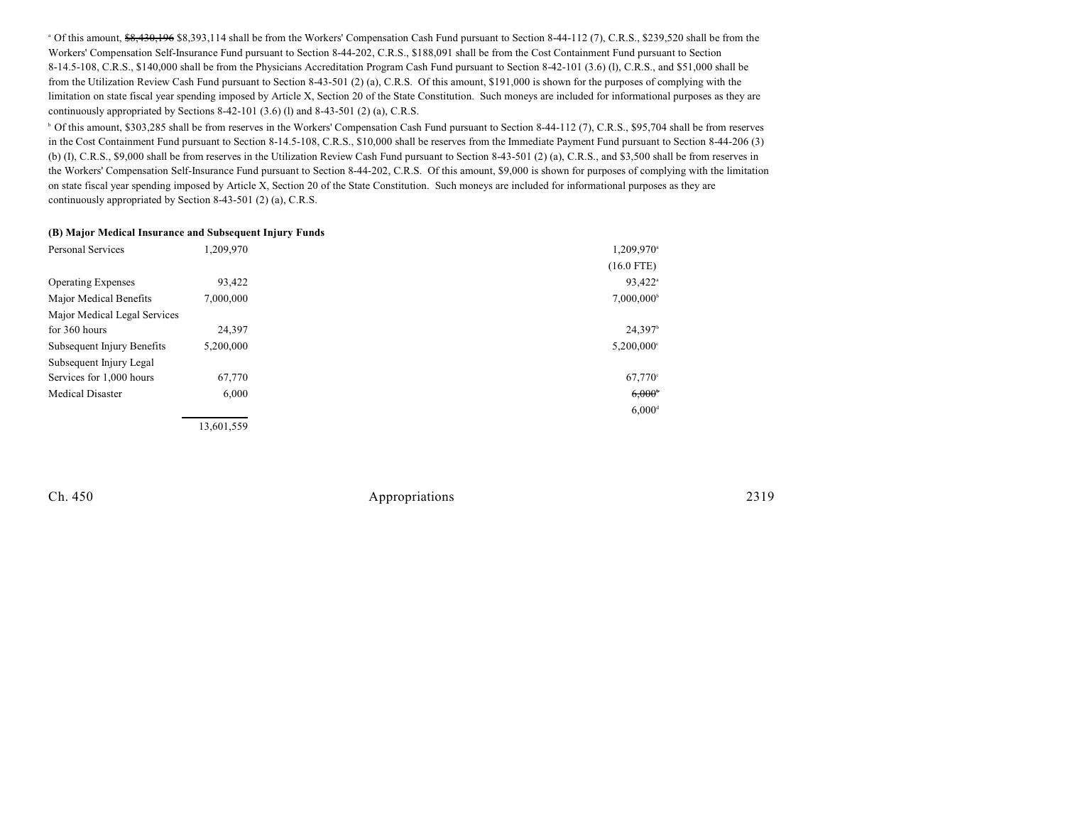<sup>a</sup> Of this amount, \$8,430,196 \$8,393,114 shall be from the Workers' Compensation Cash Fund pursuant to Section 8-44-112 (7), C.R.S., \$239,520 shall be from the Workers' Compensation Self-Insurance Fund pursuant to Section 8-44-202, C.R.S., \$188,091 shall be from the Cost Containment Fund pursuant to Section 8-14.5-108, C.R.S., \$140,000 shall be from the Physicians Accreditation Program Cash Fund pursuant to Section 8-42-101 (3.6) (l), C.R.S., and \$51,000 shall be from the Utilization Review Cash Fund pursuant to Section 8-43-501 (2) (a), C.R.S. Of this amount, \$191,000 is shown for the purposes of complying with the limitation on state fiscal year spending imposed by Article X, Section 20 of the State Constitution. Such moneys are included for informational purposes as they are continuously appropriated by Sections 8-42-101 (3.6) (l) and 8-43-501 (2) (a), C.R.S.

<sup>b</sup> Of this amount, \$303,285 shall be from reserves in the Workers' Compensation Cash Fund pursuant to Section 8-44-112 (7), C.R.S., \$95,704 shall be from reserves in the Cost Containment Fund pursuant to Section 8-14.5-108, C.R.S., \$10,000 shall be reserves from the Immediate Payment Fund pursuant to Section 8-44-206 (3) (b) (I), C.R.S., \$9,000 shall be from reserves in the Utilization Review Cash Fund pursuant to Section 8-43-501 (2) (a), C.R.S., and \$3,500 shall be from reserves in the Workers' Compensation Self-Insurance Fund pursuant to Section 8-44-202, C.R.S. Of this amount, \$9,000 is shown for purposes of complying with the limitation on state fiscal year spending imposed by Article X, Section 20 of the State Constitution. Such moneys are included for informational purposes as they are continuously appropriated by Section 8-43-501 (2) (a), C.R.S.

#### **(B) Major Medical Insurance and Subsequent Injury Funds**

| <b>Personal Services</b>     | 1,209,970  | 1,209,970 <sup>a</sup>   |
|------------------------------|------------|--------------------------|
|                              |            | $(16.0$ FTE)             |
| <b>Operating Expenses</b>    | 93,422     | 93.422 <sup>a</sup>      |
| Major Medical Benefits       | 7,000,000  | $7,000,000^{\circ}$      |
| Major Medical Legal Services |            |                          |
| for 360 hours                | 24,397     | 24.397 <sup>b</sup>      |
| Subsequent Injury Benefits   | 5,200,000  | $5,200,000$ <sup>c</sup> |
| Subsequent Injury Legal      |            |                          |
| Services for 1,000 hours     | 67,770     | $67,770^{\circ}$         |
| <b>Medical Disaster</b>      | 6,000      | $6,000^{\circ}$          |
|                              |            | $6,000$ <sup>d</sup>     |
|                              | 13.601.559 |                          |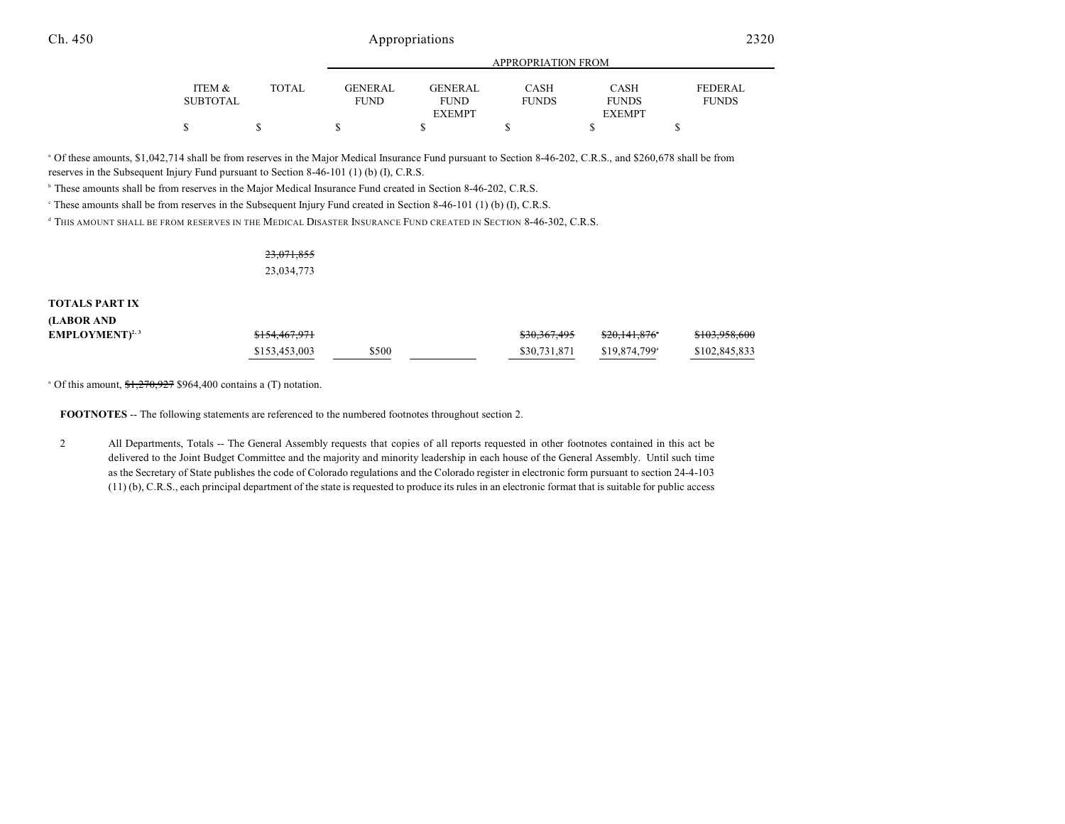|                 |              | APPROPRIATION FROM |                |              |               |                |  |
|-----------------|--------------|--------------------|----------------|--------------|---------------|----------------|--|
|                 |              |                    |                |              |               |                |  |
| ITEM &          | <b>TOTAL</b> | <b>GENERAL</b>     | <b>GENERAL</b> | CASH         | CASH          | <b>FEDERAL</b> |  |
| <b>SUBTOTAL</b> |              | <b>FUND</b>        | <b>FUND</b>    | <b>FUNDS</b> | <b>FUNDS</b>  | <b>FUNDS</b>   |  |
|                 |              |                    | <b>EXEMPT</b>  |              | <b>EXEMPT</b> |                |  |
|                 |              |                    |                |              |               |                |  |

 $^{\circ}$  Of these amounts, \$1,042,714 shall be from reserves in the Major Medical Insurance Fund pursuant to Section 8-46-202, C.R.S., and \$260,678 shall be from reserves in the Subsequent Injury Fund pursuant to Section 8-46-101 (1) (b) (I), C.R.S.

<sup>b</sup> These amounts shall be from reserves in the Major Medical Insurance Fund created in Section 8-46-202, C.R.S.

These amounts shall be from reserves in the Subsequent Injury Fund created in Section 8-46-101 (1) (b) (I), C.R.S. <sup>c</sup>

<sup>d</sup> This amount shall be from reserves in the Medical Disaster Insurance Fund created in Section 8-46-302, C.R.S.

23,071,855 23,034,773

#### **TOTALS PART IX**

| <b>LABOR AND</b>                  |               |       |              |                           |               |
|-----------------------------------|---------------|-------|--------------|---------------------------|---------------|
| <b>EMPLOYMENT</b> <sup>2, 3</sup> | \$154,467,971 |       | \$30,367,495 | <del>\$20.141.876</del> ° | \$103,958,600 |
|                                   | \$153,453,003 | \$500 | \$30,731,871 | \$19,874,799 <sup>a</sup> | \$102,845,833 |

 $^{\circ}$  Of this amount,  $\frac{$1,270,927}{1,270,927}$  \$964,400 contains a (T) notation.

**FOOTNOTES** -- The following statements are referenced to the numbered footnotes throughout section 2.

2 All Departments, Totals -- The General Assembly requests that copies of all reports requested in other footnotes contained in this act be delivered to the Joint Budget Committee and the majority and minority leadership in each house of the General Assembly. Until such time as the Secretary of State publishes the code of Colorado regulations and the Colorado register in electronic form pursuant to section 24-4-103 (11) (b), C.R.S., each principal department of the state is requested to produce its rules in an electronic format that is suitable for public access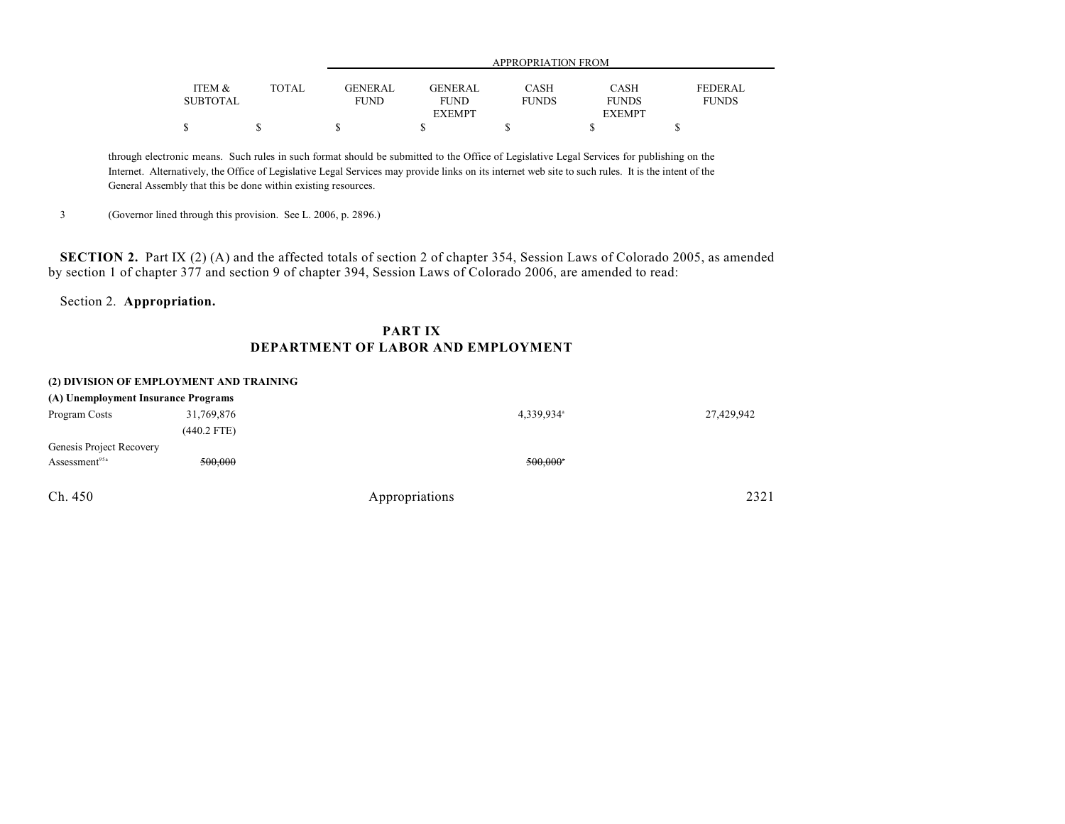|                 |              |                | APPROPRIATION FROM |              |               |                |  |
|-----------------|--------------|----------------|--------------------|--------------|---------------|----------------|--|
|                 |              |                |                    |              |               |                |  |
| ITEM &          | <b>TOTAL</b> | <b>GENERAL</b> | <b>GENERAL</b>     | CASH         | <b>CASH</b>   | <b>FEDERAL</b> |  |
| <b>SUBTOTAL</b> |              | <b>FUND</b>    | <b>FUND</b>        | <b>FUNDS</b> | <b>FUNDS</b>  | <b>FUNDS</b>   |  |
|                 |              |                | <b>EXEMPT</b>      |              | <b>EXEMPT</b> |                |  |
|                 |              |                |                    |              |               |                |  |

through electronic means. Such rules in such format should be submitted to the Office of Legislative Legal Services for publishing on the Internet. Alternatively, the Office of Legislative Legal Services may provide links on its internet web site to such rules. It is the intent of the General Assembly that this be done within existing resources.

3 (Governor lined through this provision. See L. 2006, p. 2896.)

**SECTION 2.** Part IX (2) (A) and the affected totals of section 2 of chapter 354, Session Laws of Colorado 2005, as amended by section 1 of chapter 377 and section 9 of chapter 394, Session Laws of Colorado 2006, are amended to read:

### Section 2. **Appropriation.**

### **PART IX DEPARTMENT OF LABOR AND EMPLOYMENT**

#### **(2) DIVISION OF EMPLOYMENT AND TRAINING**

| (A) Unemployment Insurance Programs |               |                        |            |
|-------------------------------------|---------------|------------------------|------------|
| Program Costs                       | 31,769,876    | 4,339,934 <sup>a</sup> | 27,429,942 |
|                                     | $(440.2$ FTE) |                        |            |
| Genesis Project Recovery            |               |                        |            |
| Assessment <sup>95a</sup>           | 500,000       | 500,000*               |            |
| Ch. 450                             |               | Appropriations         | 2321       |